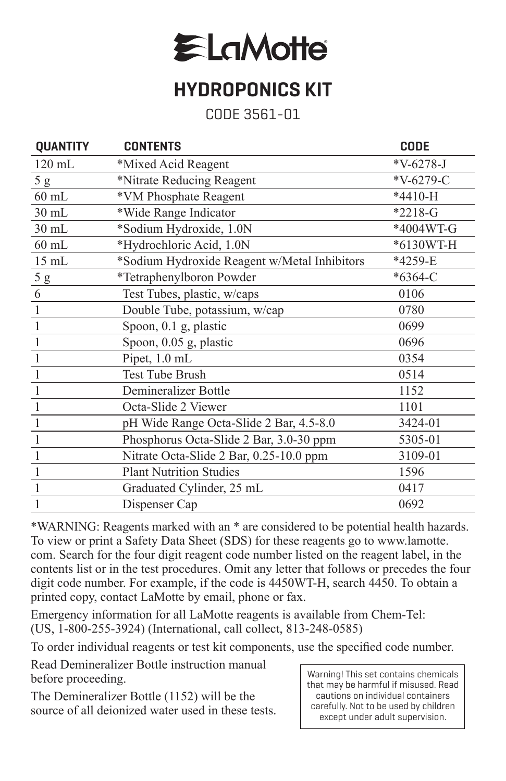

# **HYDROPONICS KIT**

CODE 3561-01

| <b>QUANTITY</b> | <b>CONTENTS</b>                              | <b>CODE</b> |
|-----------------|----------------------------------------------|-------------|
| $120$ mL        | *Mixed Acid Reagent                          | $*V-6278-J$ |
| 5g              | *Nitrate Reducing Reagent                    | $*V-6279-C$ |
| $60$ mL         | *VM Phosphate Reagent                        | *4410-H     |
| $30$ mL         | *Wide Range Indicator                        | $*2218-G$   |
| $30 \text{ mL}$ | *Sodium Hydroxide, 1.0N                      | *4004WT-G   |
| $60$ mL         | *Hydrochloric Acid, 1.0N                     | *6130WT-H   |
| $15$ mL         | *Sodium Hydroxide Reagent w/Metal Inhibitors | *4259-E     |
| 5g              | *Tetraphenylboron Powder                     | $*6364-C$   |
| 6               | Test Tubes, plastic, w/caps                  | 0106        |
| $\mathbf{1}$    | Double Tube, potassium, w/cap                | 0780        |
| $\mathbf{1}$    | Spoon, 0.1 g, plastic                        | 0699        |
| $\mathbf{1}$    | Spoon, 0.05 g, plastic                       | 0696        |
| $\mathbf{1}$    | Pipet, 1.0 mL                                | 0354        |
| $\mathbf{1}$    | Test Tube Brush                              | 0514        |
| $\mathbf{1}$    | Demineralizer Bottle                         | 1152        |
| $\mathbf{1}$    | Octa-Slide 2 Viewer                          | 1101        |
| 1               | pH Wide Range Octa-Slide 2 Bar, 4.5-8.0      | 3424-01     |
| $\mathbf{1}$    | Phosphorus Octa-Slide 2 Bar, 3.0-30 ppm      | 5305-01     |
| $\,1\,$         | Nitrate Octa-Slide 2 Bar, 0.25-10.0 ppm      | 3109-01     |
| $\mathbf{1}$    | <b>Plant Nutrition Studies</b>               | 1596        |
| $\mathbf{1}$    | Graduated Cylinder, 25 mL                    | 0417        |
| $\mathbf{1}$    | Dispenser Cap                                | 0692        |

\*WARNING: Reagents marked with an \* are considered to be potential health hazards. To view or print a Safety Data Sheet (SDS) for these reagents go to www.lamotte. com. Search for the four digit reagent code number listed on the reagent label, in the contents list or in the test procedures. Omit any letter that follows or precedes the four digit code number. For example, if the code is 4450WT-H, search 4450. To obtain a printed copy, contact LaMotte by email, phone or fax.

Emergency information for all LaMotte reagents is available from Chem-Tel: (US, 1-800-255-3924) (International, call collect, 813-248-0585)

To order individual reagents or test kit components, use the specified code number.

Read Demineralizer Bottle instruction manual before proceeding.

The Demineralizer Bottle (1152) will be the source of all deionized water used in these tests. Warning! This set contains chemicals that may be harmful if misused. Read cautions on individual containers carefully. Not to be used by children except under adult supervision.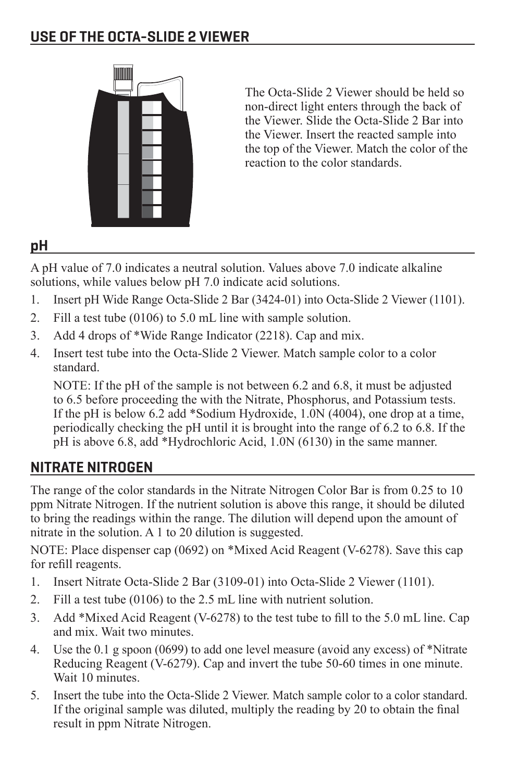## **USE OF THE OCTA-SLIDE 2 VIEWER**



The Octa-Slide 2 Viewer should be held so non-direct light enters through the back of the Viewer. Slide the Octa-Slide 2 Bar into the Viewer. Insert the reacted sample into the top of the Viewer. Match the color of the reaction to the color standards.

#### **pH**

A pH value of 7.0 indicates a neutral solution. Values above 7.0 indicate alkaline solutions, while values below pH 7.0 indicate acid solutions.

- 1. Insert pH Wide Range Octa-Slide 2 Bar (3424-01) into Octa-Slide 2 Viewer (1101).
- 2. Fill a test tube (0106) to 5.0 mL line with sample solution.
- 3. Add 4 drops of \*Wide Range Indicator (2218). Cap and mix.
- 4. Insert test tube into the Octa-Slide 2 Viewer. Match sample color to a color standard.

NOTE: If the pH of the sample is not between 6.2 and 6.8, it must be adjusted to 6.5 before proceeding the with the Nitrate, Phosphorus, and Potassium tests. If the pH is below 6.2 add \*Sodium Hydroxide, 1.0N (4004), one drop at a time, periodically checking the pH until it is brought into the range of 6.2 to 6.8. If the pH is above 6.8, add \*Hydrochloric Acid, 1.0N (6130) in the same manner.

#### **NITRATE NITROGEN**

The range of the color standards in the Nitrate Nitrogen Color Bar is from 0.25 to 10 ppm Nitrate Nitrogen. If the nutrient solution is above this range, it should be diluted to bring the readings within the range. The dilution will depend upon the amount of nitrate in the solution. A 1 to 20 dilution is suggested.

NOTE: Place dispenser cap (0692) on \*Mixed Acid Reagent (V-6278). Save this cap for refill reagents.

- 1. Insert Nitrate Octa-Slide 2 Bar (3109-01) into Octa-Slide 2 Viewer (1101).
- 2. Fill a test tube (0106) to the 2.5 mL line with nutrient solution.
- 3. Add \*Mixed Acid Reagent (V-6278) to the test tube to fill to the 5.0 mL line. Cap and mix. Wait two minutes.
- 4. Use the 0.1 g spoon (0699) to add one level measure (avoid any excess) of \*Nitrate Reducing Reagent (V-6279). Cap and invert the tube 50-60 times in one minute. Wait 10 minutes.
- 5. Insert the tube into the Octa-Slide 2 Viewer. Match sample color to a color standard. If the original sample was diluted, multiply the reading by 20 to obtain the final result in ppm Nitrate Nitrogen.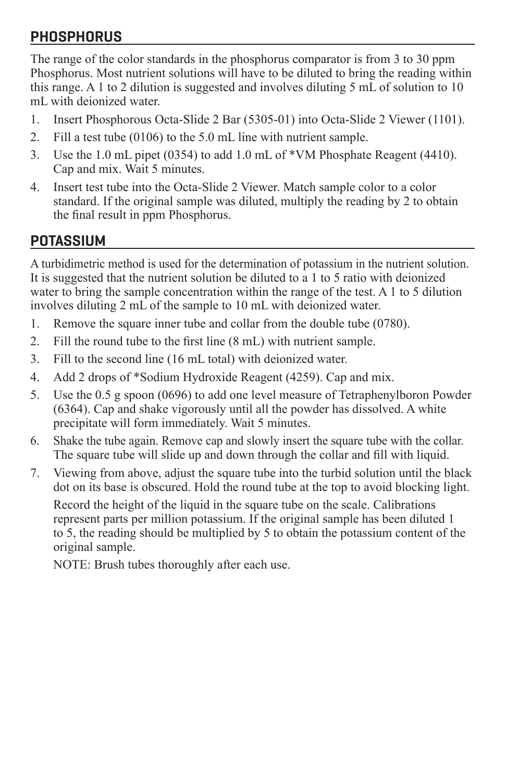### **PHOSPHORUS**

The range of the color standards in the phosphorus comparator is from 3 to 30 ppm Phosphorus. Most nutrient solutions will have to be diluted to bring the reading within this range. A 1 to 2 dilution is suggested and involves diluting 5 mL of solution to 10 mL with deionized water.

- 1. Insert Phosphorous Octa-Slide 2 Bar (5305-01) into Octa-Slide 2 Viewer (1101).
- 2. Fill a test tube (0106) to the 5.0 mL line with nutrient sample.
- 3. Use the 1.0 mL pipet (0354) to add 1.0 mL of \*VM Phosphate Reagent (4410). Cap and mix. Wait 5 minutes.
- 4. Insert test tube into the Octa-Slide 2 Viewer. Match sample color to a color standard. If the original sample was diluted, multiply the reading by 2 to obtain the final result in ppm Phosphorus.

#### **POTASSIUM**

A turbidimetric method is used for the determination of potassium in the nutrient solution. It is suggested that the nutrient solution be diluted to a 1 to 5 ratio with deionized water to bring the sample concentration within the range of the test. A 1 to 5 dilution involves diluting 2 mL of the sample to 10 mL with deionized water.

- 1. Remove the square inner tube and collar from the double tube (0780).
- 2. Fill the round tube to the first line (8 mL) with nutrient sample.
- 3. Fill to the second line (16 mL total) with deionized water.
- 4. Add 2 drops of \*Sodium Hydroxide Reagent (4259). Cap and mix.
- 5. Use the 0.5 g spoon (0696) to add one level measure of Tetraphenylboron Powder (6364). Cap and shake vigorously until all the powder has dissolved. A white precipitate will form immediately. Wait 5 minutes.
- 6. Shake the tube again. Remove cap and slowly insert the square tube with the collar. The square tube will slide up and down through the collar and fill with liquid.
- 7. Viewing from above, adjust the square tube into the turbid solution until the black dot on its base is obscured. Hold the round tube at the top to avoid blocking light.

Record the height of the liquid in the square tube on the scale. Calibrations represent parts per million potassium. If the original sample has been diluted 1 to 5, the reading should be multiplied by 5 to obtain the potassium content of the original sample.

NOTE: Brush tubes thoroughly after each use.